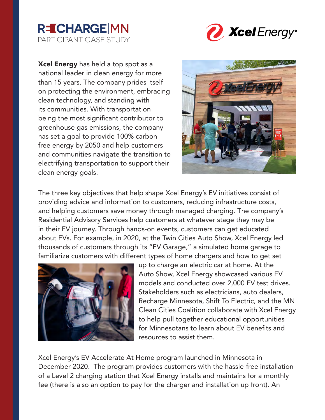## **R=CHARGE MN** PARTICIPANT CASE STUDY



Xcel Energy has held a top spot as a national leader in clean energy for more than 15 years. The company prides itself on protecting the environment, embracing clean technology, and standing with its communities. With transportation being the most significant contributor to greenhouse gas emissions, the company has set a goal to provide 100% carbonfree energy by 2050 and help customers and communities navigate the transition to electrifying transportation to support their clean energy goals.



The three key objectives that help shape Xcel Energy's EV initiatives consist of providing advice and information to customers, reducing infrastructure costs, and helping customers save money through managed charging. The company's Residential Advisory Services help customers at whatever stage they may be in their EV journey. Through hands-on events, customers can get educated about EVs. For example, in 2020, at the Twin Cities Auto Show, Xcel Energy led thousands of customers through its "EV Garage," a simulated home garage to familiarize customers with different types of home chargers and how to get set



up to charge an electric car at home. At the Auto Show, Xcel Energy showcased various EV models and conducted over 2,000 EV test drives. Stakeholders such as electricians, auto dealers, Recharge Minnesota, Shift To Electric, and the MN Clean Cities Coalition collaborate with Xcel Energy to help pull together educational opportunities for Minnesotans to learn about EV benefits and resources to assist them.

Xcel Energy's EV Accelerate At Home program launched in Minnesota in December 2020. The program provides customers with the hassle-free installation of a Level 2 charging station that Xcel Energy installs and maintains for a monthly fee (there is also an option to pay for the charger and installation up front). An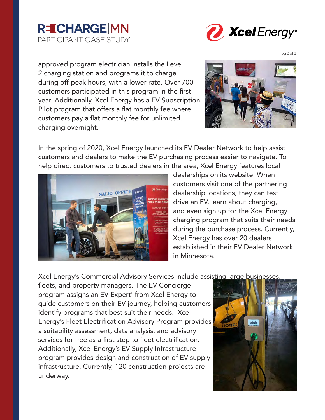



approved program electrician installs the Level 2 charging station and programs it to charge during off-peak hours, with a lower rate. Over 700 customers participated in this program in the first year. Additionally, Xcel Energy has a EV Subscription Pilot program that offers a flat monthly fee where customers pay a flat monthly fee for unlimited charging overnight.



In the spring of 2020, Xcel Energy launched its EV Dealer Network to help assist customers and dealers to make the EV purchasing process easier to navigate. To help direct customers to trusted dealers in the area, Xcel Energy features local



dealerships on its website. When customers visit one of the partnering dealership locations, they can test drive an EV, learn about charging, and even sign up for the Xcel Energy charging program that suits their needs during the purchase process. Currently, Xcel Energy has over 20 dealers established in their EV Dealer Network in Minnesota.

Xcel Energy's Commercial Advisory Services include assisting large businesses,

fleets, and property managers. The EV Concierge program assigns an EV Expert' from Xcel Energy to guide customers on their EV journey, helping customers identify programs that best suit their needs. Xcel Energy's Fleet Electrification Advisory Program provides a suitability assessment, data analysis, and advisory services for free as a first step to fleet electrification. Additionally, Xcel Energy's EV Supply Infrastructure program provides design and construction of EV supply infrastructure. Currently, 120 construction projects are underway.



pg 2 of 3